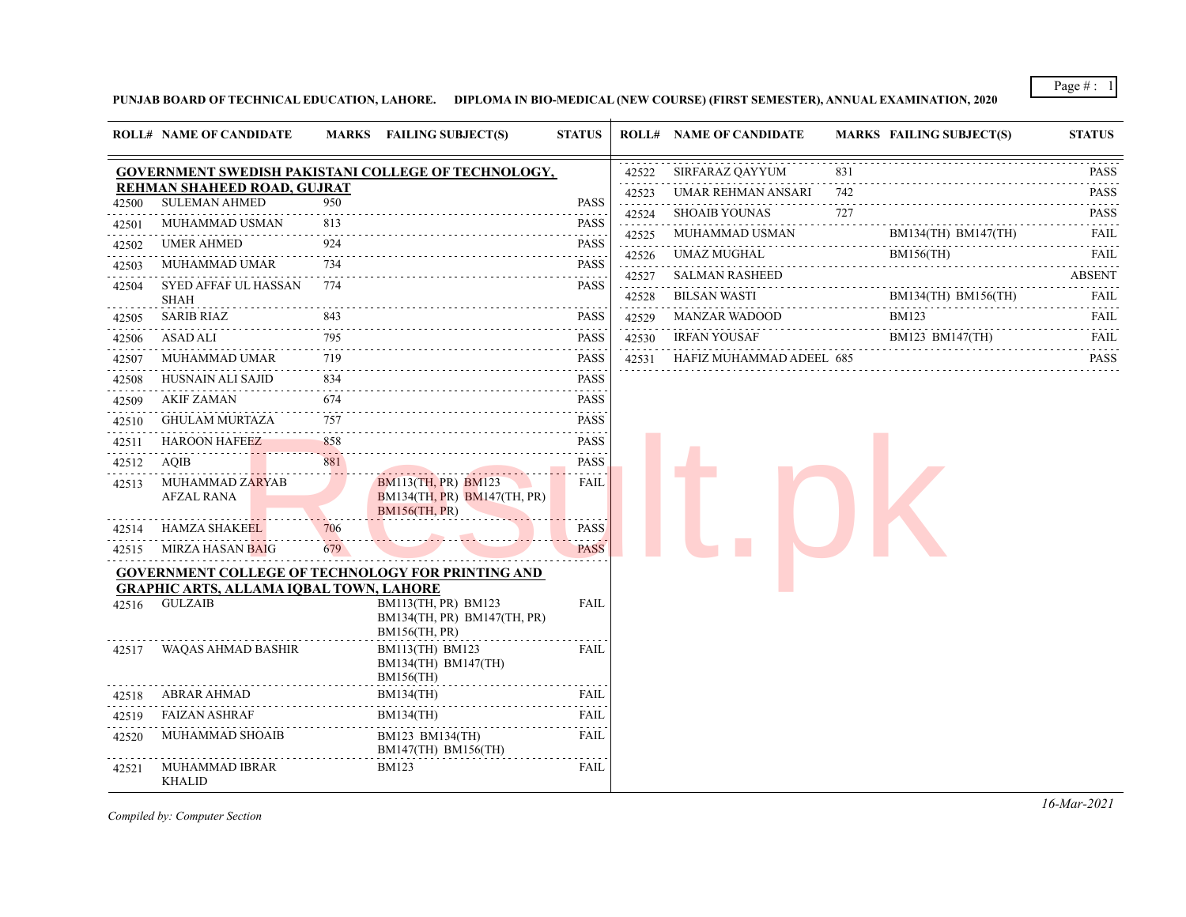Page # : 1

**PUNJAB BOARD OF TECHNICAL EDUCATION, LAHORE. DIPLOMA IN BIO-MEDICAL (NEW COURSE) (FIRST SEMESTER), ANNUAL EXAMINATION, 2020**

|       | <b>ROLL# NAME OF CANDIDATE</b>                 |              | MARKS FAILING SUBJECT(S)                                                              | <b>STATUS</b>                                                                                                                            |            | <b>ROLL# NAME OF CANDIDATE</b> |     | <b>MARKS FAILING SUBJECT(S)</b> | <b>STATUS</b>               |
|-------|------------------------------------------------|--------------|---------------------------------------------------------------------------------------|------------------------------------------------------------------------------------------------------------------------------------------|------------|--------------------------------|-----|---------------------------------|-----------------------------|
|       |                                                |              | <b>GOVERNMENT SWEDISH PAKISTANI COLLEGE OF TECHNOLOGY,</b>                            |                                                                                                                                          | 42522      | SIRFARAZ QAYYUM                | 831 |                                 | PASS                        |
|       | REHMAN SHAHEED ROAD. GUJRAT                    |              |                                                                                       |                                                                                                                                          | 42523      | UMAR REHMAN ANSARI             | 742 |                                 | $-1 - 1 - 1$<br><b>PASS</b> |
| 42500 | <b>SULEMAN AHMED</b>                           | 950          |                                                                                       | PASS                                                                                                                                     | .<br>42524 | <b>SHOAIB YOUNAS</b>           | 727 |                                 | .<br><b>PASS</b>            |
| 42501 | MUHAMMAD USMAN                                 | 813          |                                                                                       | <b>PASS</b>                                                                                                                              | 42525      | MUHAMMAD USMAN                 |     | BM134(TH) BM147(TH)             | FAIL                        |
| 42502 | <b>UMER AHMED</b>                              | 924          |                                                                                       | <b>PASS</b><br>.                                                                                                                         | 42526      | UMAZ MUGHAL                    |     | <b>BM156(TH)</b>                | FAIL                        |
| 42503 | <b>MUHAMMAD UMAR</b>                           | 734          |                                                                                       | <b>PASS</b><br>$\frac{1}{2} \left( \frac{1}{2} \right) \left( \frac{1}{2} \right) \left( \frac{1}{2} \right) \left( \frac{1}{2} \right)$ | 42527      | <b>SALMAN RASHEED</b>          |     | .                               | <b>ABSENT</b>               |
| 42504 | SYED AFFAF UL HASSAN<br><b>SHAH</b>            | 774          |                                                                                       | <b>PASS</b>                                                                                                                              | 42528      | <b>BILSAN WASTI</b>            |     | BM134(TH) BM156(TH)             | FAIL                        |
| 42505 | <b>SARIB RIAZ</b>                              | 843          |                                                                                       | <b>PASS</b>                                                                                                                              | 42529      | <b>MANZAR WADOOD</b>           |     | <b>BM123</b><br>.               | <b>FAIL</b>                 |
| 42506 | <b>ASAD ALI</b>                                | 795<br>.     |                                                                                       | <b>PASS</b>                                                                                                                              | 42530      | <b>IRFAN YOUSAF</b>            |     | BM123 BM147(TH)                 | <b>FAIL</b>                 |
| 42507 | <b>MUHAMMAD UMAR</b>                           | 719          |                                                                                       | <b>PASS</b>                                                                                                                              | 42531      | HAFIZ MUHAMMAD ADEEL 685       |     |                                 | <b>PASS</b>                 |
| 42508 | HUSNAIN ALI SAJID                              | 834          |                                                                                       | PASS                                                                                                                                     |            |                                |     |                                 |                             |
| 42509 | AKIF ZAMAN                                     | 674          |                                                                                       | PASS                                                                                                                                     |            |                                |     |                                 |                             |
| 42510 | <b>GHULAM MURTAZA</b>                          | 757          |                                                                                       | <b>PASS</b>                                                                                                                              |            |                                |     |                                 |                             |
| 42511 | <b>HAROON HAFEEZ</b>                           | 858          |                                                                                       | PASS                                                                                                                                     |            |                                |     |                                 |                             |
| 42512 | AQIB                                           | 881          |                                                                                       | PASS                                                                                                                                     |            |                                |     |                                 |                             |
| 42513 | MUHAMMAD ZARYAB<br>AFZAL RANA                  |              | <b>BM113(TH, PR) BM123</b><br>$BM134(TH, PR)$ $BM147(TH, PR)$<br><b>BM156(TH, PR)</b> | FAIL                                                                                                                                     |            |                                |     |                                 |                             |
| 42514 | <b>HAMZA SHAKEEL</b>                           | 706          |                                                                                       | <b>PASS</b>                                                                                                                              |            |                                |     |                                 |                             |
| 42515 | <b>MIRZA HASAN BAIG</b>                        | 222 L<br>679 |                                                                                       | <b>PASS</b>                                                                                                                              |            |                                |     |                                 |                             |
|       | <b>GRAPHIC ARTS, ALLAMA IOBAL TOWN, LAHORE</b> |              | <b>GOVERNMENT COLLEGE OF TECHNOLOGY FOR PRINTING AND</b>                              |                                                                                                                                          |            |                                |     |                                 |                             |
| 42516 | GULZAIB                                        |              | BM113(TH, PR) BM123<br>BM134(TH, PR) BM147(TH, PR)<br>BM156(TH, PR)                   | FAIL                                                                                                                                     |            |                                |     |                                 |                             |
| 42517 | WAQAS AHMAD BASHIR                             |              | BM113(TH) BM123<br>BM134(TH) BM147(TH)<br><b>BM156(TH)</b>                            | FAIL                                                                                                                                     |            |                                |     |                                 |                             |
| 42518 | ABRAR AHMAD                                    |              | <b>BM134(TH)</b>                                                                      | FAIL                                                                                                                                     |            |                                |     |                                 |                             |
| 42519 | <b>FAIZAN ASHRAF</b>                           |              | <b>BM134(TH)</b>                                                                      | FAIL                                                                                                                                     |            |                                |     |                                 |                             |
| 42520 | MUHAMMAD SHOAIB                                |              | BM123 BM134(TH)<br>BM147(TH) BM156(TH)                                                | FAIL                                                                                                                                     |            |                                |     |                                 |                             |
| 42521 | MUHAMMAD IBRAR<br><b>KHALID</b>                |              | <b>BM123</b>                                                                          | FAIL                                                                                                                                     |            |                                |     |                                 |                             |

*Compiled by: Computer Section*